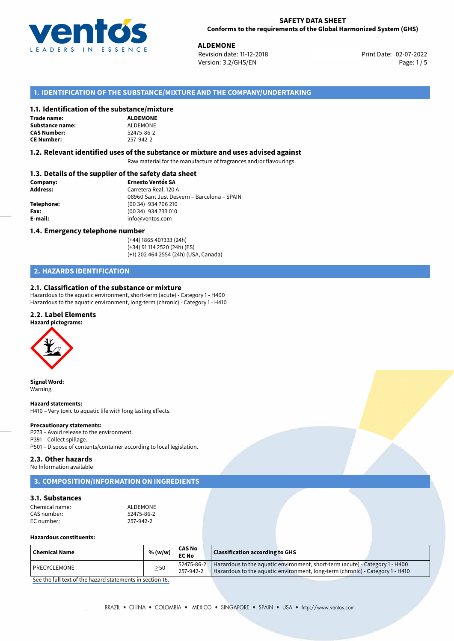

**ALDEMONE**<br> **Revision date: 11-12-2018 ALL CONGERY PROPENTIES**<br> **Print Date: 02-07-2022** Version: 3.2/GHS/EN Page: 1/5

# **1. IDENTIFICATION OF THE SUBSTANCE/MIXTURE AND THE COMPANY/UNDERTAKING**

### **1.1. Identification of the substance/mixture**

| Trade name:        |  |  |  |  |
|--------------------|--|--|--|--|
| Substance name:    |  |  |  |  |
| <b>CAS Number:</b> |  |  |  |  |
| CF Number          |  |  |  |  |

**ALDEMONE SUDEMONE CAS Number:** 52475-86-2 **CE Number:** 257-942-2

### **1.2. Relevant identified uses of the substance or mixture and uses advised against**

Raw material for the manufacture of fragrances and/or flavourings.

## **1.3. Details of the supplier of the safety data sheet**

| Company:        | <b>Ernesto Ventós SA</b>                    |  |  |  |
|-----------------|---------------------------------------------|--|--|--|
| <b>Address:</b> | Carretera Real, 120 A                       |  |  |  |
|                 | 08960 Sant Just Desvern - Barcelona - SPAIN |  |  |  |
| Telephone:      | (00 34) 934 706 210                         |  |  |  |
| Fax:            | (00 34) 934 733 010                         |  |  |  |
| E-mail:         | info@ventos.com                             |  |  |  |
|                 |                                             |  |  |  |

### **1.4. Emergency telephone number**

(+44) 1865 407333 (24h) (+34) 91 114 2520 (24h) (ES) (+1) 202 464 2554 (24h) (USA, Canada)

# **2. HAZARDS IDENTIFICATION**

### **2.1. Classification of the substance or mixture**

Hazardous to the aquatic environment, short-term (acute) - Category 1 - H400 Hazardous to the aquatic environment, long-term (chronic) - Category 1 - H410

### **2.2. Label Elements**

### **Hazard pictograms:**



**Signal Word:** Warning

### **Hazard statements:**

H410 – Very toxic to aquatic life with long lasting effects.

# **Precautionary statements:**

P273 – Avoid release to the environment. P391 – Collect spillage. P501 – Dispose of contents/container according to local legislation.

### **2.3. Other hazards**

No Information available

# **3. COMPOSITION/INFORMATION ON INGREDIENTS**

# **3.1. Substances**

| Chemical name: | ALDEMONE   |
|----------------|------------|
| CAS number:    | 52475-86-2 |
| EC number:     | 257-942-2  |

### **Hazardous constituents:**

| Chemical Name       | % (w/w)   | <b>CAS No</b><br><b>EC No</b> | Classification according to GHS                                                                                                                               |
|---------------------|-----------|-------------------------------|---------------------------------------------------------------------------------------------------------------------------------------------------------------|
| <b>PRECYCLEMONE</b> | $\geq$ 50 | 52475-86-2<br>257-942-2       | Hazardous to the aquatic environment, short-term (acute) - Category 1 - H400<br>Hazardous to the aquatic environment, long-term (chronic) - Category 1 - H410 |

[See the full text of the hazard statements in section 16.](#page--1-0)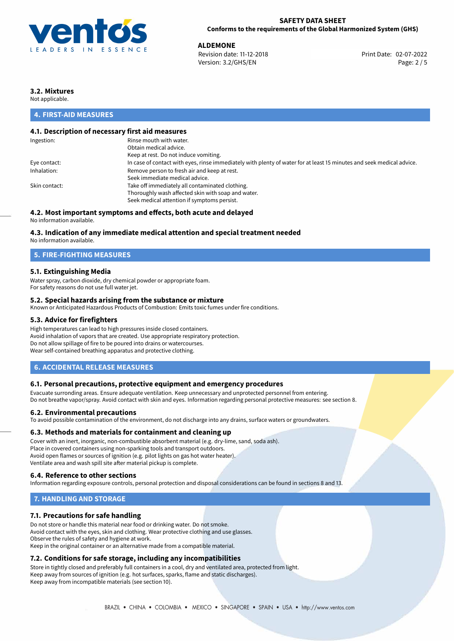

**ALDEMONE**<br>
Revision date: 11-12-2018<br> **Devision date: 11-12-2018** Revision date: 11-12-2018 Version: 3.2/GHS/EN Page: 2 / 5

# **3.2. Mixtures**

Not applicable.

# **4. FIRST-AID MEASURES**

# **4.1. Description of necessary first aid measures**

| Ingestion:    | Rinse mouth with water.                                                                                               |
|---------------|-----------------------------------------------------------------------------------------------------------------------|
|               | Obtain medical advice.                                                                                                |
|               | Keep at rest. Do not induce vomiting.                                                                                 |
| Eye contact:  | In case of contact with eyes, rinse immediately with plenty of water for at least 15 minutes and seek medical advice. |
| Inhalation:   | Remove person to fresh air and keep at rest.                                                                          |
|               | Seek immediate medical advice.                                                                                        |
| Skin contact: | Take off immediately all contaminated clothing.                                                                       |
|               | Thoroughly wash affected skin with soap and water.                                                                    |
|               | Seek medical attention if symptoms persist.                                                                           |
|               |                                                                                                                       |

# **4.2. Most important symptoms and effects, both acute and delayed**

No information available.

### **4.3. Indication of any immediate medical attention and special treatment needed**

No information available.

## **5. FIRE-FIGHTING MEASURES**

### **5.1. Extinguishing Media**

Water spray, carbon dioxide, dry chemical powder or appropriate foam. For safety reasons do not use full water jet.

### **5.2. Special hazards arising from the substance or mixture**

Known or Anticipated Hazardous Products of Combustion: Emits toxic fumes under fire conditions.

### **5.3. Advice for firefighters**

High temperatures can lead to high pressures inside closed containers. Avoid inhalation of vapors that are created. Use appropriate respiratory protection. Do not allow spillage of fire to be poured into drains or watercourses. Wear self-contained breathing apparatus and protective clothing.

### **6. ACCIDENTAL RELEASE MEASURES**

### **6.1. Personal precautions, protective equipment and emergency procedures**

Evacuate surronding areas. Ensure adequate ventilation. Keep unnecessary and unprotected personnel from entering. Do not breathe vapor/spray. Avoid contact with skin and eyes. Information regarding personal protective measures: see section 8.

### **6.2. Environmental precautions**

To avoid possible contamination of the environment, do not discharge into any drains, surface waters or groundwaters.

### **6.3. Methods and materials for containment and cleaning up**

Cover with an inert, inorganic, non-combustible absorbent material (e.g. dry-lime, sand, soda ash). Place in covered containers using non-sparking tools and transport outdoors. Avoid open flames or sources of ignition (e.g. pilot lights on gas hot water heater). Ventilate area and wash spill site after material pickup is complete.

### **6.4. Reference to other sections**

Information regarding exposure controls, personal protection and disposal considerations can be found in sections 8 and 13.

# **7. HANDLING AND STORAGE**

### **7.1. Precautions for safe handling**

Do not store or handle this material near food or drinking water. Do not smoke. Avoid contact with the eyes, skin and clothing. Wear protective clothing and use glasses. Observe the rules of safety and hygiene at work. Keep in the original container or an alternative made from a compatible material.

# **7.2. Conditions for safe storage, including any incompatibilities**

Store in tightly closed and preferably full containers in a cool, dry and ventilated area, protected from light. Keep away from sources of ignition (e.g. hot surfaces, sparks, flame and static discharges). Keep away from incompatible materials (see section 10).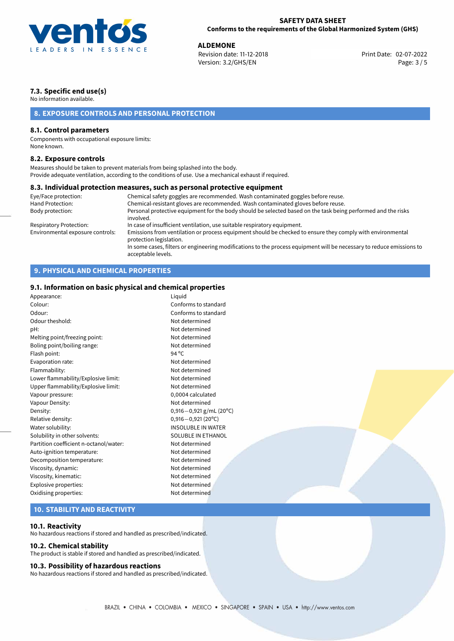

**ALDEMONE**<br>
Revision date: 11-12-2018 **ALDER EXECUTE: 12-07-2022** Print Date: 02-07-2022 Version: 3.2/GHS/EN Page: 3 / 5

# **7.3. Specific end use(s)**

No information available.

# **8. EXPOSURE CONTROLS AND PERSONAL PROTECTION**

## **8.1. Control parameters**

Components with occupational exposure limits: None known.

### **8.2. Exposure controls**

Measures should be taken to prevent materials from being splashed into the body. Provide adequate ventilation, according to the conditions of use. Use a mechanical exhaust if required.

### **8.3. Individual protection measures, such as personal protective equipment**

| Eye/Face protection:             | Chemical safety goggles are recommended. Wash contaminated goggles before reuse.                                                            |
|----------------------------------|---------------------------------------------------------------------------------------------------------------------------------------------|
| Hand Protection:                 | Chemical-resistant gloves are recommended. Wash contaminated gloves before reuse.                                                           |
| Body protection:                 | Personal protective equipment for the body should be selected based on the task being performed and the risks<br>involved.                  |
| Respiratory Protection:          | In case of insufficient ventilation, use suitable respiratory equipment.                                                                    |
| Environmental exposure controls: | Emissions from ventilation or process equipment should be checked to ensure they comply with environmental<br>protection legislation.       |
|                                  | In some cases, filters or engineering modifications to the process equipment will be necessary to reduce emissions to<br>acceptable levels. |

# **9. PHYSICAL AND CHEMICAL PROPERTIES**

# **9.1. Information on basic physical and chemical properties**

| Appearance:                            | Liquid                      |
|----------------------------------------|-----------------------------|
| Colour:                                | Conforms to standard        |
| Odour:                                 | Conforms to standard        |
| Odour theshold:                        | Not determined              |
| pH:                                    | Not determined              |
| Melting point/freezing point:          | Not determined              |
| Boling point/boiling range:            | Not determined              |
| Flash point:                           | 94 $^{\circ}$ C             |
| Evaporation rate:                      | Not determined              |
| Flammability:                          | Not determined              |
| Lower flammability/Explosive limit:    | Not determined              |
| Upper flammability/Explosive limit:    | Not determined              |
| Vapour pressure:                       | 0,0004 calculated           |
| Vapour Density:                        | Not determined              |
| Density:                               | $0,916 - 0,921$ g/mL (20°C) |
| Relative density:                      | $0,916 - 0,921(20°C)$       |
| Water solubility:                      | <b>INSOLUBLE IN WATER</b>   |
| Solubility in other solvents:          | SOLUBLE IN ETHANOL          |
| Partition coefficient n-octanol/water: | Not determined              |
| Auto-ignition temperature:             | Not determined              |
| Decomposition temperature:             | Not determined              |
| Viscosity, dynamic:                    | Not determined              |
| Viscosity, kinematic:                  | Not determined              |
| Explosive properties:                  | Not determined              |
| Oxidising properties:                  | Not determined              |
|                                        |                             |

# **10. STABILITY AND REACTIVITY**

### **10.1. Reactivity**

No hazardous reactions if stored and handled as prescribed/indicated.

### **10.2. Chemical stability**

The product is stable if stored and handled as prescribed/indicated.

### **10.3. Possibility of hazardous reactions**

No hazardous reactions if stored and handled as prescribed/indicated.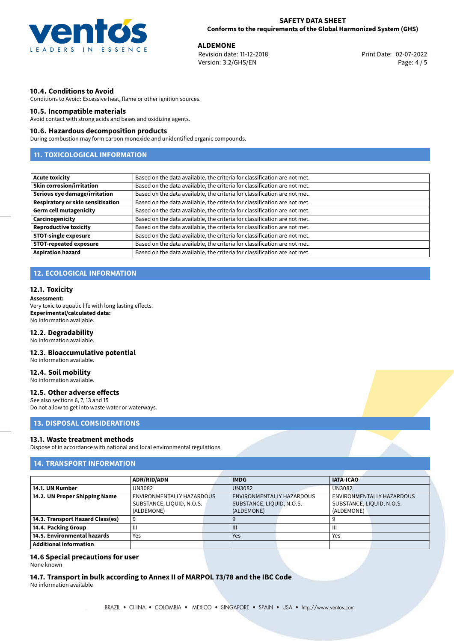

**ALDEMONE**<br>
Revision date: 11-12-2018 **ALDER EXECUTE: 12-07-2022** Print Date: 02-07-2022 Version: 3.2/GHS/EN Page: 4 / 5

## **10.4. Conditions to Avoid**

Conditions to Avoid: Excessive heat, flame or other ignition sources.

### **10.5. Incompatible materials**

Avoid contact with strong acids and bases and oxidizing agents.

### **10.6. Hazardous decomposition products**

During combustion may form carbon monoxide and unidentified organic compounds.

# **11. TOXICOLOGICAL INFORMATION**

| <b>Acute toxicity</b>             | Based on the data available, the criteria for classification are not met. |
|-----------------------------------|---------------------------------------------------------------------------|
| <b>Skin corrosion/irritation</b>  | Based on the data available, the criteria for classification are not met. |
| Serious eye damage/irritation     | Based on the data available, the criteria for classification are not met. |
| Respiratory or skin sensitisation | Based on the data available, the criteria for classification are not met. |
| <b>Germ cell mutagenicity</b>     | Based on the data available, the criteria for classification are not met. |
| Carcinogenicity                   | Based on the data available, the criteria for classification are not met. |
| <b>Reproductive toxicity</b>      | Based on the data available, the criteria for classification are not met. |
| <b>STOT-single exposure</b>       | Based on the data available, the criteria for classification are not met. |
| <b>STOT-repeated exposure</b>     | Based on the data available, the criteria for classification are not met. |
| <b>Aspiration hazard</b>          | Based on the data available, the criteria for classification are not met. |

# **12. ECOLOGICAL INFORMATION**

### **12.1. Toxicity**

### **Assessment:**

Very toxic to aquatic life with long lasting effects. **Experimental/calculated data:** No information available.

### **12.2. Degradability**

No information available.

### **12.3. Bioaccumulative potential**

No information available.

# **12.4. Soil mobility**

No information available.

### **12.5. Other adverse effects**

See also sections 6, 7, 13 and 15 Do not allow to get into waste water or waterways.

## **13. DISPOSAL CONSIDERATIONS**

### **13.1. Waste treatment methods**

Dispose of in accordance with national and local environmental regulations.

# **14. TRANSPORT INFORMATION**

|                                  | <b>ADR/RID/ADN</b>        |  | <b>IMDG</b>               |  | <b>IATA-ICAO</b>          |  |
|----------------------------------|---------------------------|--|---------------------------|--|---------------------------|--|
| 14.1. UN Number                  | UN3082                    |  | <b>UN3082</b>             |  | <b>UN3082</b>             |  |
| 14.2. UN Proper Shipping Name    | ENVIRONMENTALLY HAZARDOUS |  | ENVIRONMENTALLY HAZARDOUS |  | ENVIRONMENTALLY HAZARDOUS |  |
|                                  | SUBSTANCE, LIQUID, N.O.S. |  | SUBSTANCE, LIQUID, N.O.S. |  | SUBSTANCE, LIQUID, N.O.S. |  |
|                                  | (ALDEMONE)                |  | (ALDEMONE)                |  | (ALDEMONE)                |  |
| 14.3. Transport Hazard Class(es) |                           |  |                           |  |                           |  |
| 14.4. Packing Group              | Ш                         |  | Ш                         |  | Ш                         |  |
| 14.5. Environmental hazards      | Yes                       |  | Yes                       |  | Yes                       |  |
| <b>Additional information</b>    |                           |  |                           |  |                           |  |

# **14.6 Special precautions for user**

None known

**14.7. Transport in bulk according to Annex II of MARPOL 73/78 and the IBC Code** No information available